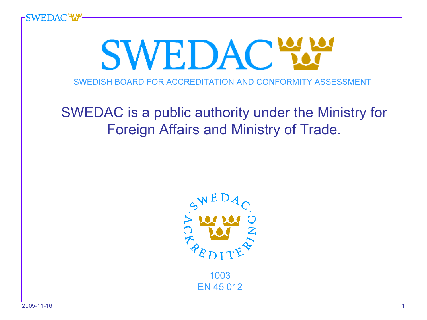

1003EN 45 012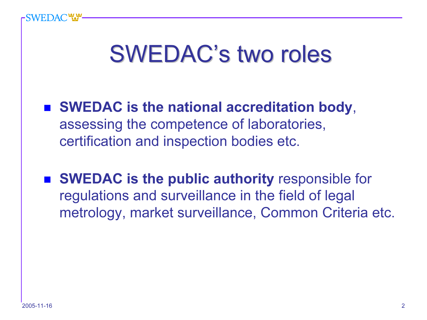#### **SWEDAC's two roles**

- SWEDAC is the national accreditation body, assessing the competence of laboratories, certification and inspection bodies etc.
- SWEDAC is the public authority responsible for regulations and surveillance in the field of legal metrology, market surveillance, Common Criteria etc.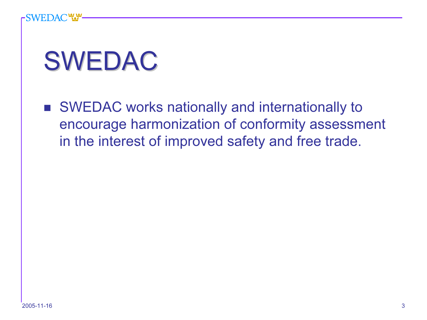# SWEDAC

■ SWEDAC works nationally and internationally to encourage harmonization of conformity assessment in the interest of improved safety and free trade.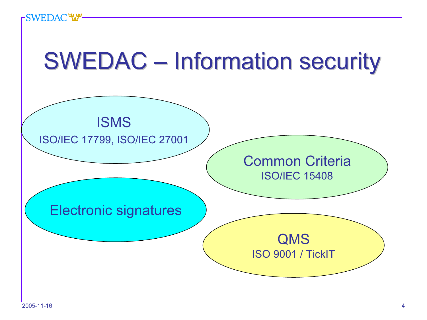#### **SWEDAC WA**

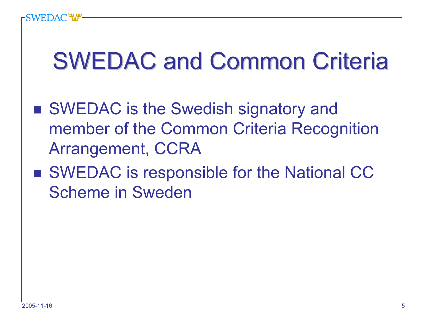### **SWEDAC and Common Criteria**

- SWEDAC is the Swedish signatory and member of the Common Criteria Recognition Arrangement, CCRA
- SWEDAC is responsible for the National CC Scheme in Sweden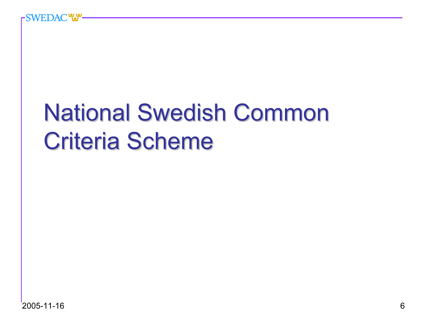### **National Swedish Common Criteria Scheme**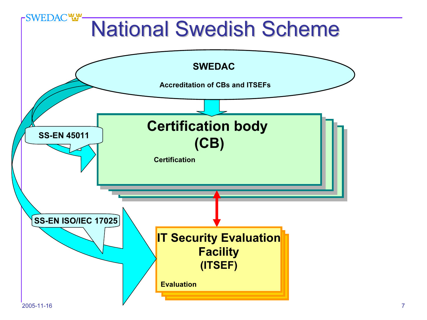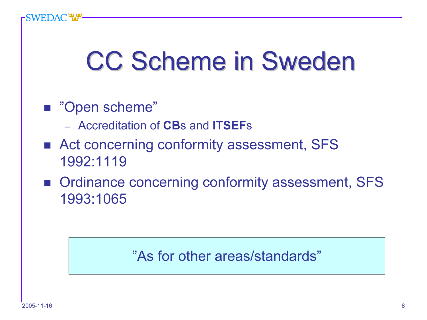### CC Scheme in Sweden

#### ■ "Open scheme"

- *–* Accreditation of CBs and ITSEFs
- Act concerning conformity assessment, SFS 1992:1119
- Ordinance concerning conformity assessment, SFS 1993:1065

#### "As for other areas/standards"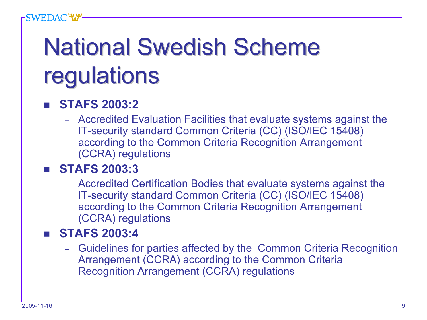# **National Swedish Scheme** regulations

#### h. STAFS 2003:2

– Accredited Evaluation Facilities that evaluate systems against the IT-security standard Common Criteria (CC) (ISO/IEC 15408) according to the Common Criteria Recognition Arrangement (CCRA) regulations

#### STAFS 2003:3

– Accredited Certification Bodies that evaluate systems against the IT-security standard Common Criteria (CC) (ISO/IEC 15408) according to the Common Criteria Recognition Arrangement (CCRA) regulations

#### **STAFS 2003:4**

– Guidelines for parties affected by the Common Criteria Recognition Arrangement (CCRA) according to the Common Criteria Recognition Arrangement (CCRA) regulations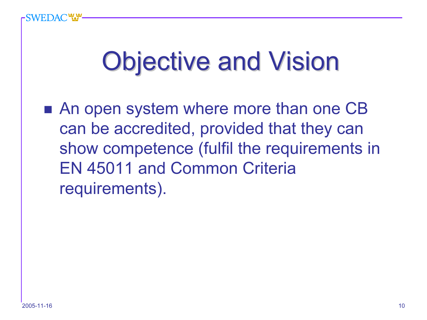### **Objective and Vision**

■ An open system where more than one CB can be accredited, provided that they can show competence (fulfil the requirements in EN 45011 and Common Criteria requirements).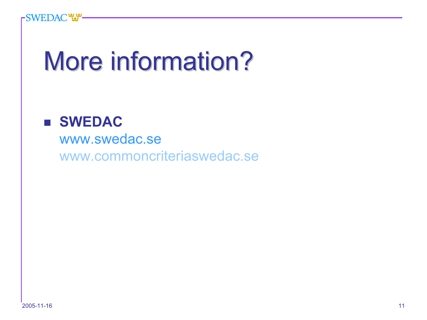# More information?

#### **B** SWEDAC

www.swedac.sewww.commoncriteriaswedac.se